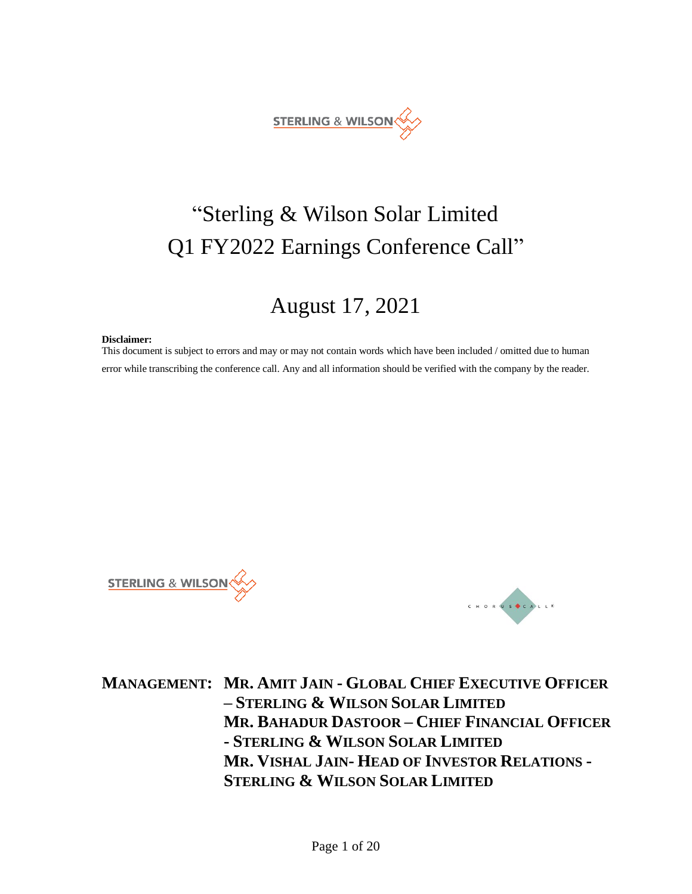

# "Sterling & Wilson Solar Limited Q1 FY2022 Earnings Conference Call"

## August 17, 2021

#### **Disclaimer:**

This document is subject to errors and may or may not contain words which have been included / omitted due to human error while transcribing the conference call. Any and all information should be verified with the company by the reader.





**MANAGEMENT: MR. AMIT JAIN - GLOBAL CHIEF EXECUTIVE OFFICER – STERLING & WILSON SOLAR LIMITED MR. BAHADUR DASTOOR – CHIEF FINANCIAL OFFICER - STERLING & WILSON SOLAR LIMITED MR. VISHAL JAIN- HEAD OF INVESTOR RELATIONS - STERLING & WILSON SOLAR LIMITED**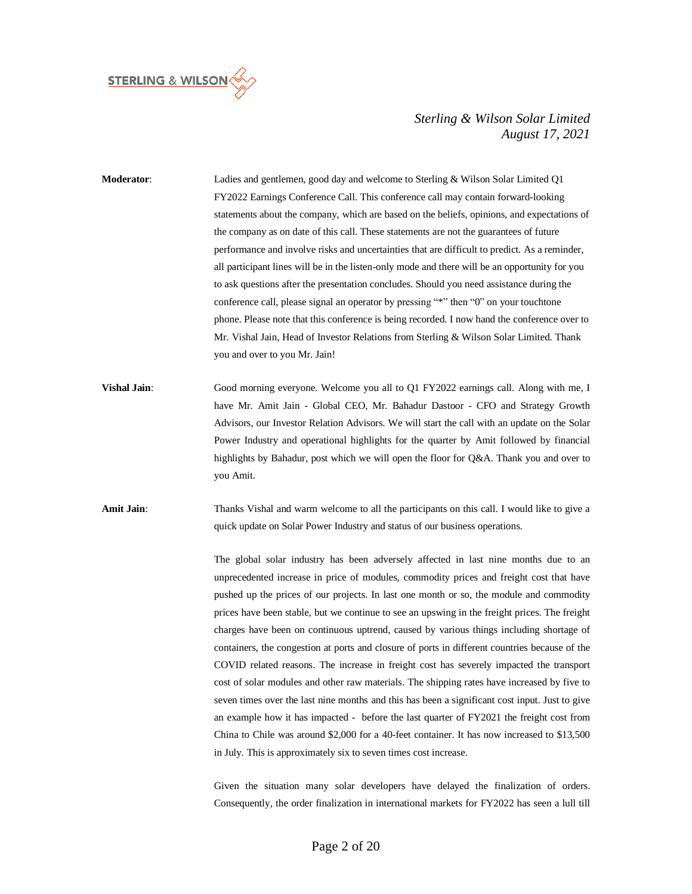

| Moderator:          | Ladies and gentlemen, good day and welcome to Sterling & Wilson Solar Limited Q1<br>FY2022 Earnings Conference Call. This conference call may contain forward-looking<br>statements about the company, which are based on the beliefs, opinions, and expectations of<br>the company as on date of this call. These statements are not the guarantees of future<br>performance and involve risks and uncertainties that are difficult to predict. As a reminder,<br>all participant lines will be in the listen-only mode and there will be an opportunity for you<br>to ask questions after the presentation concludes. Should you need assistance during the<br>conference call, please signal an operator by pressing "*" then "0" on your touchtone<br>phone. Please note that this conference is being recorded. I now hand the conference over to<br>Mr. Vishal Jain, Head of Investor Relations from Sterling & Wilson Solar Limited. Thank<br>you and over to you Mr. Jain!                                                                                                                                                                                                                                                                                                                               |
|---------------------|------------------------------------------------------------------------------------------------------------------------------------------------------------------------------------------------------------------------------------------------------------------------------------------------------------------------------------------------------------------------------------------------------------------------------------------------------------------------------------------------------------------------------------------------------------------------------------------------------------------------------------------------------------------------------------------------------------------------------------------------------------------------------------------------------------------------------------------------------------------------------------------------------------------------------------------------------------------------------------------------------------------------------------------------------------------------------------------------------------------------------------------------------------------------------------------------------------------------------------------------------------------------------------------------------------------|
| <b>Vishal Jain:</b> | Good morning everyone. Welcome you all to Q1 FY2022 earnings call. Along with me, I<br>have Mr. Amit Jain - Global CEO, Mr. Bahadur Dastoor - CFO and Strategy Growth<br>Advisors, our Investor Relation Advisors. We will start the call with an update on the Solar<br>Power Industry and operational highlights for the quarter by Amit followed by financial<br>highlights by Bahadur, post which we will open the floor for Q&A. Thank you and over to<br>you Amit.                                                                                                                                                                                                                                                                                                                                                                                                                                                                                                                                                                                                                                                                                                                                                                                                                                         |
| <b>Amit Jain:</b>   | Thanks Vishal and warm welcome to all the participants on this call. I would like to give a<br>quick update on Solar Power Industry and status of our business operations.<br>The global solar industry has been adversely affected in last nine months due to an<br>unprecedented increase in price of modules, commodity prices and freight cost that have<br>pushed up the prices of our projects. In last one month or so, the module and commodity<br>prices have been stable, but we continue to see an upswing in the freight prices. The freight<br>charges have been on continuous uptrend, caused by various things including shortage of<br>containers, the congestion at ports and closure of ports in different countries because of the<br>COVID related reasons. The increase in freight cost has severely impacted the transport<br>cost of solar modules and other raw materials. The shipping rates have increased by five to<br>seven times over the last nine months and this has been a significant cost input. Just to give<br>an example how it has impacted - before the last quarter of FY2021 the freight cost from<br>China to Chile was around \$2,000 for a 40-feet container. It has now increased to \$13,500<br>in July. This is approximately six to seven times cost increase. |

Given the situation many solar developers have delayed the finalization of orders. Consequently, the order finalization in international markets for FY2022 has seen a lull till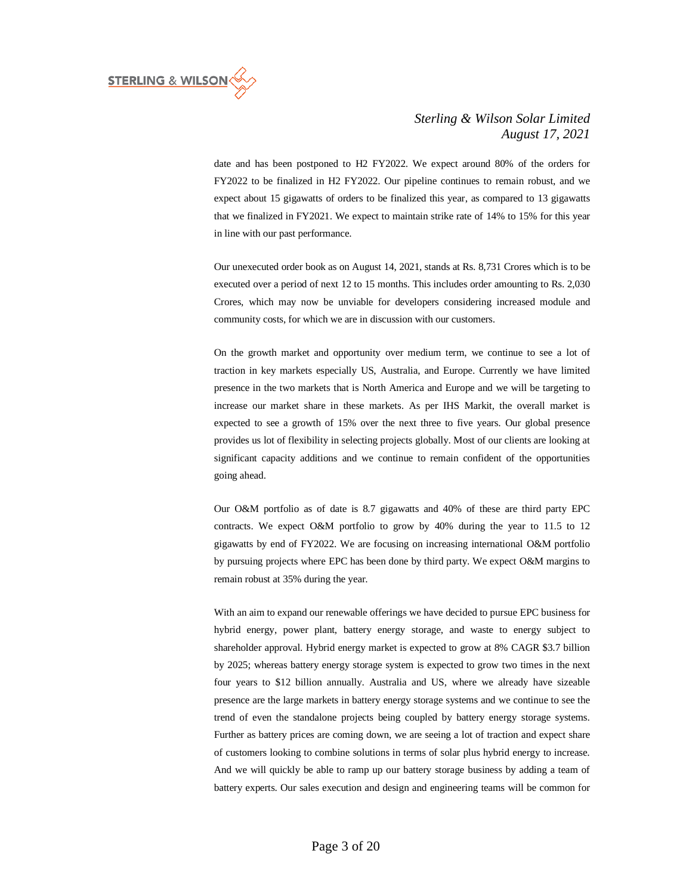

date and has been postponed to H2 FY2022. We expect around 80% of the orders for FY2022 to be finalized in H2 FY2022. Our pipeline continues to remain robust, and we expect about 15 gigawatts of orders to be finalized this year, as compared to 13 gigawatts that we finalized in FY2021. We expect to maintain strike rate of 14% to 15% for this year in line with our past performance.

Our unexecuted order book as on August 14, 2021, stands at Rs. 8,731 Crores which is to be executed over a period of next 12 to 15 months. This includes order amounting to Rs. 2,030 Crores, which may now be unviable for developers considering increased module and community costs, for which we are in discussion with our customers.

On the growth market and opportunity over medium term, we continue to see a lot of traction in key markets especially US, Australia, and Europe. Currently we have limited presence in the two markets that is North America and Europe and we will be targeting to increase our market share in these markets. As per IHS Markit, the overall market is expected to see a growth of 15% over the next three to five years. Our global presence provides us lot of flexibility in selecting projects globally. Most of our clients are looking at significant capacity additions and we continue to remain confident of the opportunities going ahead.

Our O&M portfolio as of date is 8.7 gigawatts and 40% of these are third party EPC contracts. We expect O&M portfolio to grow by 40% during the year to 11.5 to 12 gigawatts by end of FY2022. We are focusing on increasing international O&M portfolio by pursuing projects where EPC has been done by third party. We expect O&M margins to remain robust at 35% during the year.

With an aim to expand our renewable offerings we have decided to pursue EPC business for hybrid energy, power plant, battery energy storage, and waste to energy subject to shareholder approval. Hybrid energy market is expected to grow at 8% CAGR \$3.7 billion by 2025; whereas battery energy storage system is expected to grow two times in the next four years to \$12 billion annually. Australia and US, where we already have sizeable presence are the large markets in battery energy storage systems and we continue to see the trend of even the standalone projects being coupled by battery energy storage systems. Further as battery prices are coming down, we are seeing a lot of traction and expect share of customers looking to combine solutions in terms of solar plus hybrid energy to increase. And we will quickly be able to ramp up our battery storage business by adding a team of battery experts. Our sales execution and design and engineering teams will be common for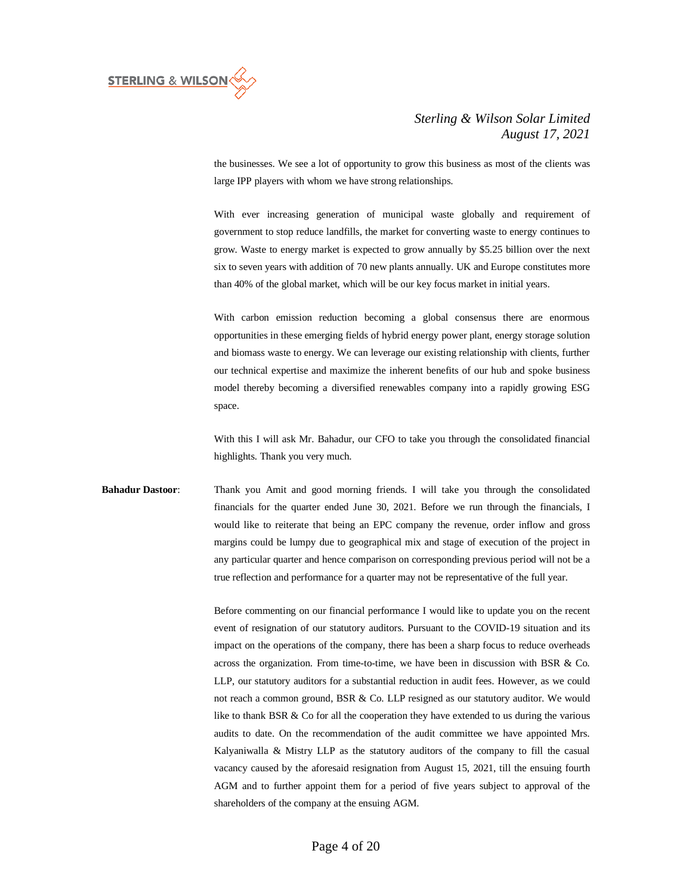

the businesses. We see a lot of opportunity to grow this business as most of the clients was large IPP players with whom we have strong relationships.

With ever increasing generation of municipal waste globally and requirement of government to stop reduce landfills, the market for converting waste to energy continues to grow. Waste to energy market is expected to grow annually by \$5.25 billion over the next six to seven years with addition of 70 new plants annually. UK and Europe constitutes more than 40% of the global market, which will be our key focus market in initial years.

With carbon emission reduction becoming a global consensus there are enormous opportunities in these emerging fields of hybrid energy power plant, energy storage solution and biomass waste to energy. We can leverage our existing relationship with clients, further our technical expertise and maximize the inherent benefits of our hub and spoke business model thereby becoming a diversified renewables company into a rapidly growing ESG space.

With this I will ask Mr. Bahadur, our CFO to take you through the consolidated financial highlights. Thank you very much.

**Bahadur Dastoor**: Thank you Amit and good morning friends. I will take you through the consolidated financials for the quarter ended June 30, 2021. Before we run through the financials, I would like to reiterate that being an EPC company the revenue, order inflow and gross margins could be lumpy due to geographical mix and stage of execution of the project in any particular quarter and hence comparison on corresponding previous period will not be a true reflection and performance for a quarter may not be representative of the full year.

> Before commenting on our financial performance I would like to update you on the recent event of resignation of our statutory auditors. Pursuant to the COVID-19 situation and its impact on the operations of the company, there has been a sharp focus to reduce overheads across the organization. From time-to-time, we have been in discussion with BSR  $\&$  Co. LLP, our statutory auditors for a substantial reduction in audit fees. However, as we could not reach a common ground, BSR & Co. LLP resigned as our statutory auditor. We would like to thank BSR & Co for all the cooperation they have extended to us during the various audits to date. On the recommendation of the audit committee we have appointed Mrs. Kalyaniwalla & Mistry LLP as the statutory auditors of the company to fill the casual vacancy caused by the aforesaid resignation from August 15, 2021, till the ensuing fourth AGM and to further appoint them for a period of five years subject to approval of the shareholders of the company at the ensuing AGM.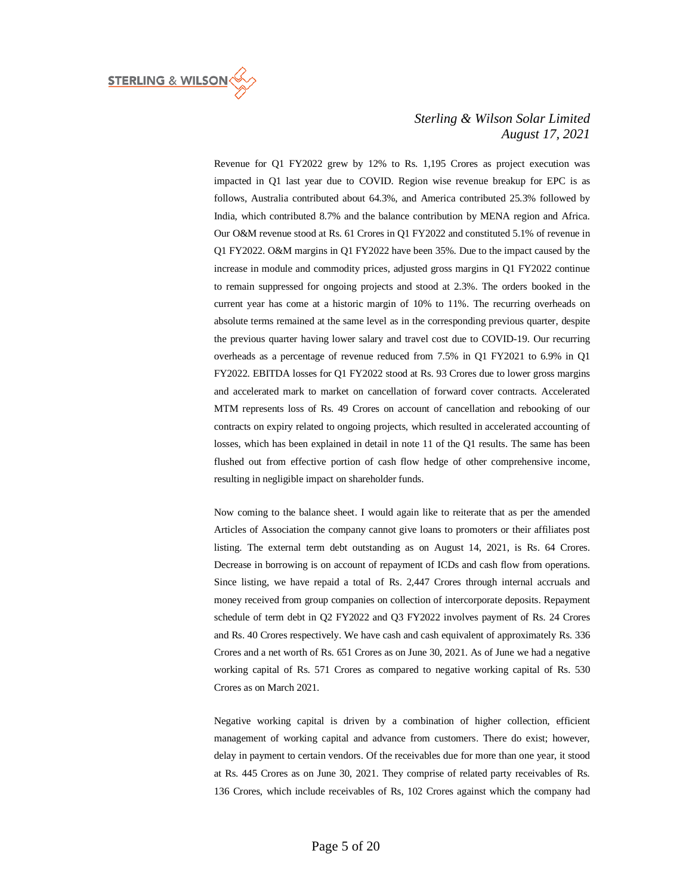

Revenue for Q1 FY2022 grew by 12% to Rs. 1,195 Crores as project execution was impacted in Q1 last year due to COVID. Region wise revenue breakup for EPC is as follows, Australia contributed about 64.3%, and America contributed 25.3% followed by India, which contributed 8.7% and the balance contribution by MENA region and Africa. Our O&M revenue stood at Rs. 61 Crores in Q1 FY2022 and constituted 5.1% of revenue in Q1 FY2022. O&M margins in Q1 FY2022 have been 35%. Due to the impact caused by the increase in module and commodity prices, adjusted gross margins in Q1 FY2022 continue to remain suppressed for ongoing projects and stood at 2.3%. The orders booked in the current year has come at a historic margin of 10% to 11%. The recurring overheads on absolute terms remained at the same level as in the corresponding previous quarter, despite the previous quarter having lower salary and travel cost due to COVID-19. Our recurring overheads as a percentage of revenue reduced from 7.5% in Q1 FY2021 to 6.9% in Q1 FY2022. EBITDA losses for Q1 FY2022 stood at Rs. 93 Crores due to lower gross margins and accelerated mark to market on cancellation of forward cover contracts. Accelerated MTM represents loss of Rs. 49 Crores on account of cancellation and rebooking of our contracts on expiry related to ongoing projects, which resulted in accelerated accounting of losses, which has been explained in detail in note 11 of the Q1 results. The same has been flushed out from effective portion of cash flow hedge of other comprehensive income, resulting in negligible impact on shareholder funds.

Now coming to the balance sheet. I would again like to reiterate that as per the amended Articles of Association the company cannot give loans to promoters or their affiliates post listing. The external term debt outstanding as on August 14, 2021, is Rs. 64 Crores. Decrease in borrowing is on account of repayment of ICDs and cash flow from operations. Since listing, we have repaid a total of Rs. 2,447 Crores through internal accruals and money received from group companies on collection of intercorporate deposits. Repayment schedule of term debt in Q2 FY2022 and Q3 FY2022 involves payment of Rs. 24 Crores and Rs. 40 Crores respectively. We have cash and cash equivalent of approximately Rs. 336 Crores and a net worth of Rs. 651 Crores as on June 30, 2021. As of June we had a negative working capital of Rs. 571 Crores as compared to negative working capital of Rs. 530 Crores as on March 2021.

Negative working capital is driven by a combination of higher collection, efficient management of working capital and advance from customers. There do exist; however, delay in payment to certain vendors. Of the receivables due for more than one year, it stood at Rs. 445 Crores as on June 30, 2021. They comprise of related party receivables of Rs. 136 Crores, which include receivables of Rs, 102 Crores against which the company had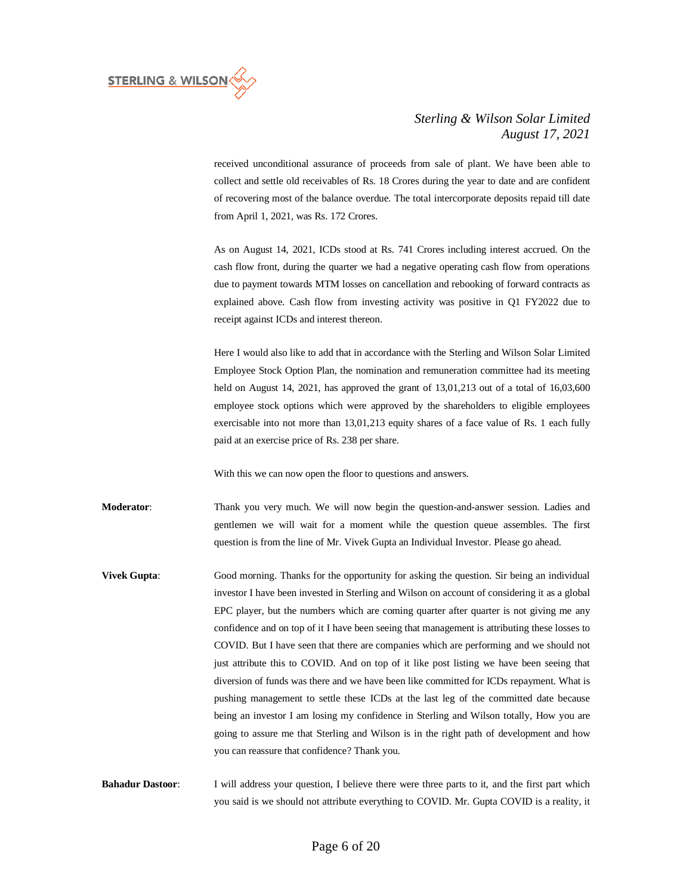

received unconditional assurance of proceeds from sale of plant. We have been able to collect and settle old receivables of Rs. 18 Crores during the year to date and are confident of recovering most of the balance overdue. The total intercorporate deposits repaid till date from April 1, 2021, was Rs. 172 Crores.

As on August 14, 2021, ICDs stood at Rs. 741 Crores including interest accrued. On the cash flow front, during the quarter we had a negative operating cash flow from operations due to payment towards MTM losses on cancellation and rebooking of forward contracts as explained above. Cash flow from investing activity was positive in Q1 FY2022 due to receipt against ICDs and interest thereon.

Here I would also like to add that in accordance with the Sterling and Wilson Solar Limited Employee Stock Option Plan, the nomination and remuneration committee had its meeting held on August 14, 2021, has approved the grant of 13,01,213 out of a total of 16,03,600 employee stock options which were approved by the shareholders to eligible employees exercisable into not more than 13,01,213 equity shares of a face value of Rs. 1 each fully paid at an exercise price of Rs. 238 per share.

With this we can now open the floor to questions and answers.

**Moderator**: Thank you very much. We will now begin the question-and-answer session. Ladies and gentlemen we will wait for a moment while the question queue assembles. The first question is from the line of Mr. Vivek Gupta an Individual Investor. Please go ahead.

**Vivek Gupta:** Good morning. Thanks for the opportunity for asking the question. Sir being an individual investor I have been invested in Sterling and Wilson on account of considering it as a global EPC player, but the numbers which are coming quarter after quarter is not giving me any confidence and on top of it I have been seeing that management is attributing these losses to COVID. But I have seen that there are companies which are performing and we should not just attribute this to COVID. And on top of it like post listing we have been seeing that diversion of funds was there and we have been like committed for ICDs repayment. What is pushing management to settle these ICDs at the last leg of the committed date because being an investor I am losing my confidence in Sterling and Wilson totally, How you are going to assure me that Sterling and Wilson is in the right path of development and how you can reassure that confidence? Thank you.

**Bahadur Dastoor:** I will address your question, I believe there were three parts to it, and the first part which you said is we should not attribute everything to COVID. Mr. Gupta COVID is a reality, it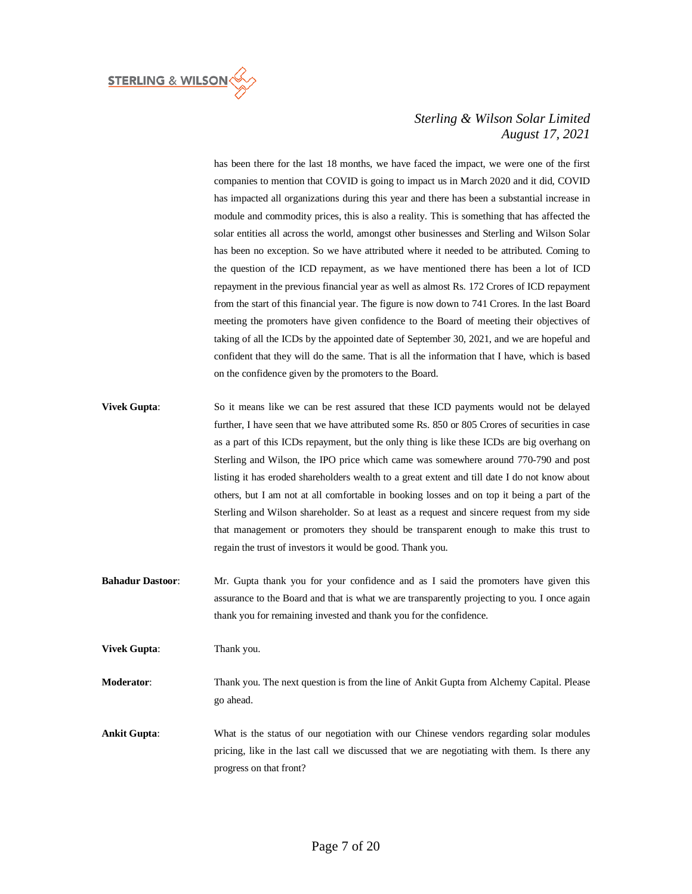

has been there for the last 18 months, we have faced the impact, we were one of the first companies to mention that COVID is going to impact us in March 2020 and it did, COVID has impacted all organizations during this year and there has been a substantial increase in module and commodity prices, this is also a reality. This is something that has affected the solar entities all across the world, amongst other businesses and Sterling and Wilson Solar has been no exception. So we have attributed where it needed to be attributed. Coming to the question of the ICD repayment, as we have mentioned there has been a lot of ICD repayment in the previous financial year as well as almost Rs. 172 Crores of ICD repayment from the start of this financial year. The figure is now down to 741 Crores. In the last Board meeting the promoters have given confidence to the Board of meeting their objectives of taking of all the ICDs by the appointed date of September 30, 2021, and we are hopeful and confident that they will do the same. That is all the information that I have, which is based on the confidence given by the promoters to the Board.

- **Vivek Gupta:** So it means like we can be rest assured that these ICD payments would not be delayed further, I have seen that we have attributed some Rs. 850 or 805 Crores of securities in case as a part of this ICDs repayment, but the only thing is like these ICDs are big overhang on Sterling and Wilson, the IPO price which came was somewhere around 770-790 and post listing it has eroded shareholders wealth to a great extent and till date I do not know about others, but I am not at all comfortable in booking losses and on top it being a part of the Sterling and Wilson shareholder. So at least as a request and sincere request from my side that management or promoters they should be transparent enough to make this trust to regain the trust of investors it would be good. Thank you.
- **Bahadur Dastoor:** Mr. Gupta thank you for your confidence and as I said the promoters have given this assurance to the Board and that is what we are transparently projecting to you. I once again thank you for remaining invested and thank you for the confidence.

**Vivek Gupta:** Thank you.

**Moderator**: Thank you. The next question is from the line of Ankit Gupta from Alchemy Capital. Please go ahead.

**Ankit Gupta**: What is the status of our negotiation with our Chinese vendors regarding solar modules pricing, like in the last call we discussed that we are negotiating with them. Is there any progress on that front?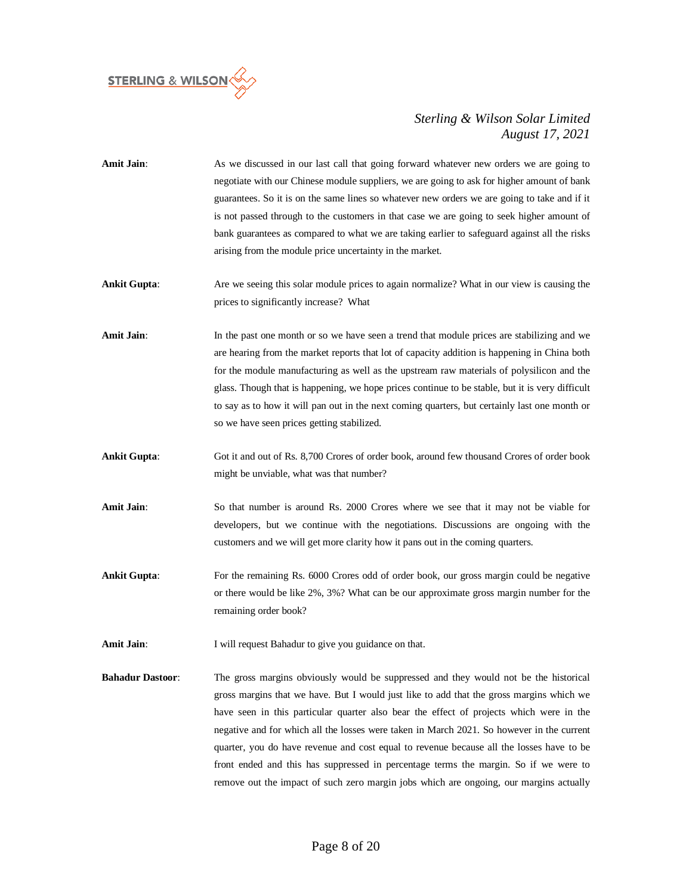

**Amit Jain**: As we discussed in our last call that going forward whatever new orders we are going to negotiate with our Chinese module suppliers, we are going to ask for higher amount of bank guarantees. So it is on the same lines so whatever new orders we are going to take and if it is not passed through to the customers in that case we are going to seek higher amount of bank guarantees as compared to what we are taking earlier to safeguard against all the risks arising from the module price uncertainty in the market.

**Ankit Gupta:** Are we seeing this solar module prices to again normalize? What in our view is causing the prices to significantly increase? What

- Amit Jain: In the past one month or so we have seen a trend that module prices are stabilizing and we are hearing from the market reports that lot of capacity addition is happening in China both for the module manufacturing as well as the upstream raw materials of polysilicon and the glass. Though that is happening, we hope prices continue to be stable, but it is very difficult to say as to how it will pan out in the next coming quarters, but certainly last one month or so we have seen prices getting stabilized.
- **Ankit Gupta**: Got it and out of Rs. 8,700 Crores of order book, around few thousand Crores of order book might be unviable, what was that number?
- **Amit Jain**: So that number is around Rs. 2000 Crores where we see that it may not be viable for developers, but we continue with the negotiations. Discussions are ongoing with the customers and we will get more clarity how it pans out in the coming quarters.
- **Ankit Gupta:** For the remaining Rs. 6000 Crores odd of order book, our gross margin could be negative or there would be like 2%, 3%? What can be our approximate gross margin number for the remaining order book?
- Amit Jain: I will request Bahadur to give you guidance on that.
- **Bahadur Dastoor**: The gross margins obviously would be suppressed and they would not be the historical gross margins that we have. But I would just like to add that the gross margins which we have seen in this particular quarter also bear the effect of projects which were in the negative and for which all the losses were taken in March 2021. So however in the current quarter, you do have revenue and cost equal to revenue because all the losses have to be front ended and this has suppressed in percentage terms the margin. So if we were to remove out the impact of such zero margin jobs which are ongoing, our margins actually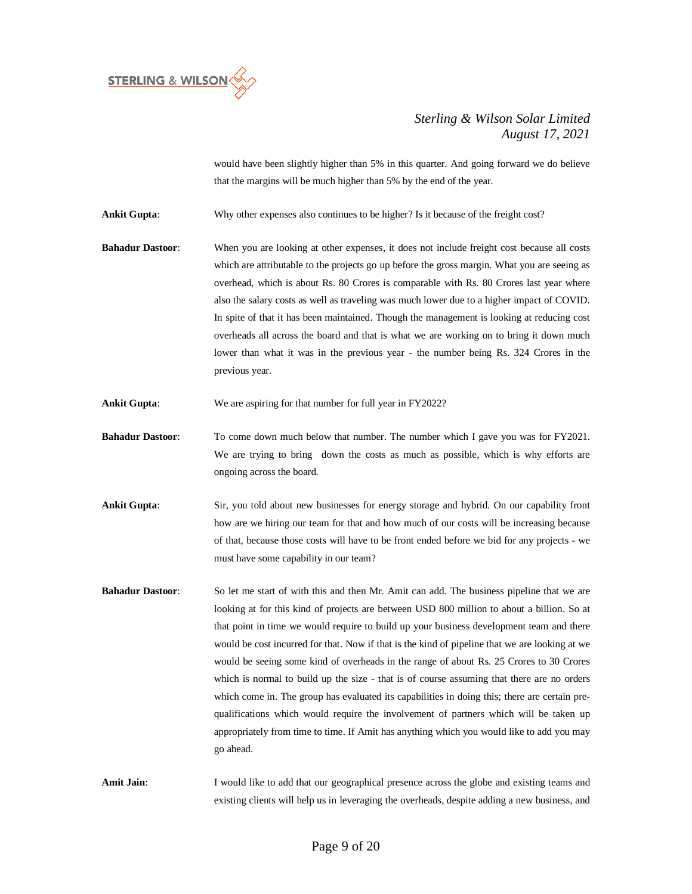

would have been slightly higher than 5% in this quarter. And going forward we do believe that the margins will be much higher than 5% by the end of the year.

**Ankit Gupta**: Why other expenses also continues to be higher? Is it because of the freight cost?

- **Bahadur Dastoor**: When you are looking at other expenses, it does not include freight cost because all costs which are attributable to the projects go up before the gross margin. What you are seeing as overhead, which is about Rs. 80 Crores is comparable with Rs. 80 Crores last year where also the salary costs as well as traveling was much lower due to a higher impact of COVID. In spite of that it has been maintained. Though the management is looking at reducing cost overheads all across the board and that is what we are working on to bring it down much lower than what it was in the previous year - the number being Rs. 324 Crores in the previous year.
- Ankit Gupta: We are aspiring for that number for full year in FY2022?
- **Bahadur Dastoor:** To come down much below that number. The number which I gave you was for FY2021. We are trying to bring down the costs as much as possible, which is why efforts are ongoing across the board.
- **Ankit Gupta:** Sir, you told about new businesses for energy storage and hybrid. On our capability front how are we hiring our team for that and how much of our costs will be increasing because of that, because those costs will have to be front ended before we bid for any projects - we must have some capability in our team?
- **Bahadur Dastoor**: So let me start of with this and then Mr. Amit can add. The business pipeline that we are looking at for this kind of projects are between USD 800 million to about a billion. So at that point in time we would require to build up your business development team and there would be cost incurred for that. Now if that is the kind of pipeline that we are looking at we would be seeing some kind of overheads in the range of about Rs. 25 Crores to 30 Crores which is normal to build up the size - that is of course assuming that there are no orders which come in. The group has evaluated its capabilities in doing this; there are certain prequalifications which would require the involvement of partners which will be taken up appropriately from time to time. If Amit has anything which you would like to add you may go ahead.

Amit Jain: I would like to add that our geographical presence across the globe and existing teams and existing clients will help us in leveraging the overheads, despite adding a new business, and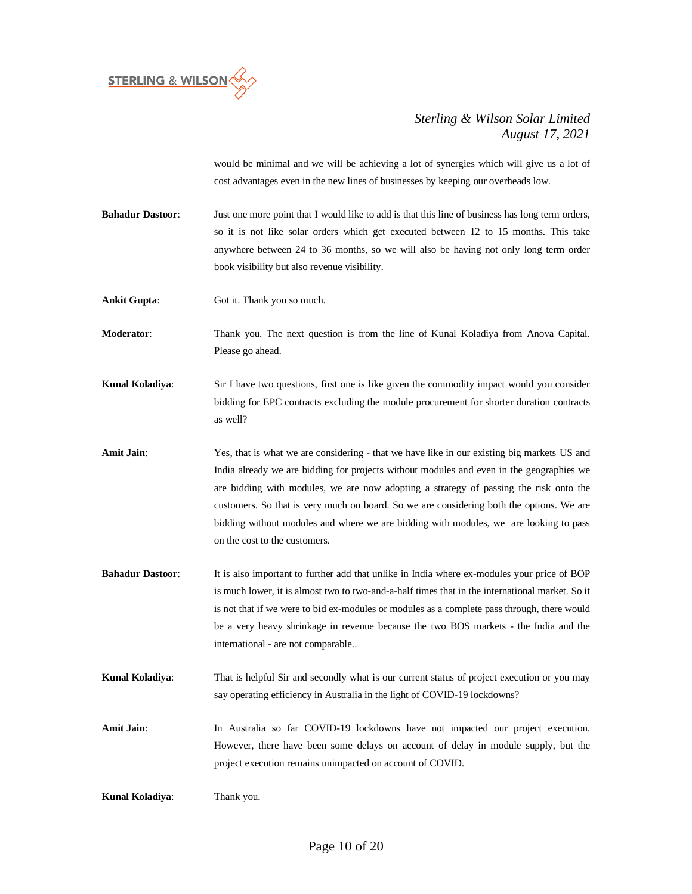

would be minimal and we will be achieving a lot of synergies which will give us a lot of cost advantages even in the new lines of businesses by keeping our overheads low.

**Bahadur Dastoor:** Just one more point that I would like to add is that this line of business has long term orders, so it is not like solar orders which get executed between 12 to 15 months. This take anywhere between 24 to 36 months, so we will also be having not only long term order book visibility but also revenue visibility.

**Ankit Gupta:** Got it. Thank you so much.

**Moderator**: Thank you. The next question is from the line of Kunal Koladiya from Anova Capital. Please go ahead.

**Kunal Koladiya**: Sir I have two questions, first one is like given the commodity impact would you consider bidding for EPC contracts excluding the module procurement for shorter duration contracts as well?

**Amit Jain**: Yes, that is what we are considering - that we have like in our existing big markets US and India already we are bidding for projects without modules and even in the geographies we are bidding with modules, we are now adopting a strategy of passing the risk onto the customers. So that is very much on board. So we are considering both the options. We are bidding without modules and where we are bidding with modules, we are looking to pass on the cost to the customers.

- **Bahadur Dastoor**: It is also important to further add that unlike in India where ex-modules your price of BOP is much lower, it is almost two to two-and-a-half times that in the international market. So it is not that if we were to bid ex-modules or modules as a complete pass through, there would be a very heavy shrinkage in revenue because the two BOS markets - the India and the international - are not comparable..
- **Kunal Koladiya**: That is helpful Sir and secondly what is our current status of project execution or you may say operating efficiency in Australia in the light of COVID-19 lockdowns?
- **Amit Jain**: In Australia so far COVID-19 lockdowns have not impacted our project execution. However, there have been some delays on account of delay in module supply, but the project execution remains unimpacted on account of COVID.

**Kunal Koladiya**: Thank you.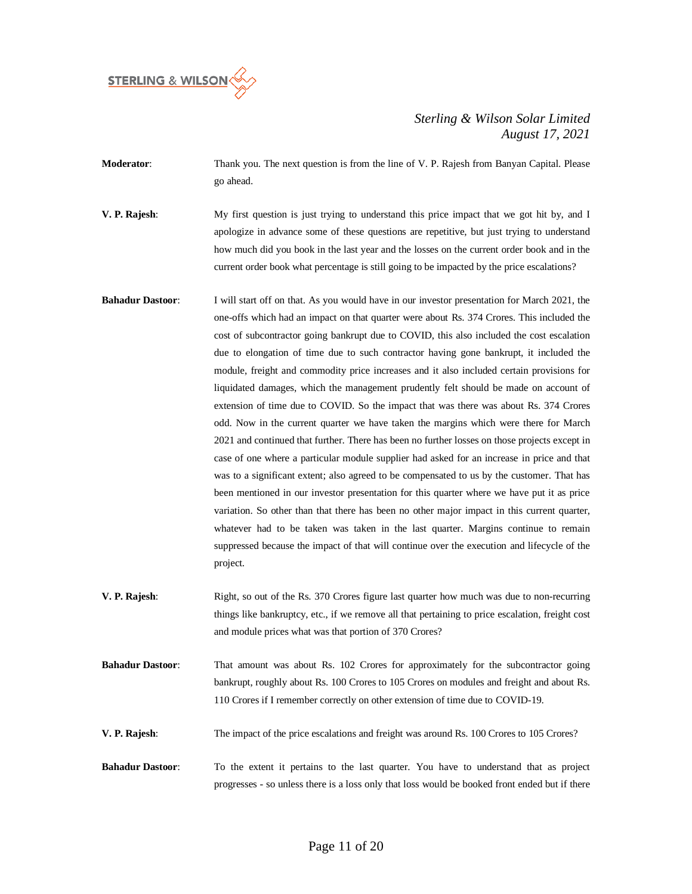

**Moderator:** Thank you. The next question is from the line of V. P. Rajesh from Banyan Capital. Please go ahead.

**V. P. Rajesh**: My first question is just trying to understand this price impact that we got hit by, and I apologize in advance some of these questions are repetitive, but just trying to understand how much did you book in the last year and the losses on the current order book and in the current order book what percentage is still going to be impacted by the price escalations?

- **Bahadur Dastoor**: I will start off on that. As you would have in our investor presentation for March 2021, the one-offs which had an impact on that quarter were about Rs. 374 Crores. This included the cost of subcontractor going bankrupt due to COVID, this also included the cost escalation due to elongation of time due to such contractor having gone bankrupt, it included the module, freight and commodity price increases and it also included certain provisions for liquidated damages, which the management prudently felt should be made on account of extension of time due to COVID. So the impact that was there was about Rs. 374 Crores odd. Now in the current quarter we have taken the margins which were there for March 2021 and continued that further. There has been no further losses on those projects except in case of one where a particular module supplier had asked for an increase in price and that was to a significant extent; also agreed to be compensated to us by the customer. That has been mentioned in our investor presentation for this quarter where we have put it as price variation. So other than that there has been no other major impact in this current quarter, whatever had to be taken was taken in the last quarter. Margins continue to remain suppressed because the impact of that will continue over the execution and lifecycle of the project.
- **V. P. Rajesh:** Right, so out of the Rs. 370 Crores figure last quarter how much was due to non-recurring things like bankruptcy, etc., if we remove all that pertaining to price escalation, freight cost and module prices what was that portion of 370 Crores?
- **Bahadur Dastoor**: That amount was about Rs. 102 Crores for approximately for the subcontractor going bankrupt, roughly about Rs. 100 Crores to 105 Crores on modules and freight and about Rs. 110 Crores if I remember correctly on other extension of time due to COVID-19.
- **V. P. Rajesh:** The impact of the price escalations and freight was around Rs. 100 Crores to 105 Crores?
- **Bahadur Dastoor**: To the extent it pertains to the last quarter. You have to understand that as project progresses - so unless there is a loss only that loss would be booked front ended but if there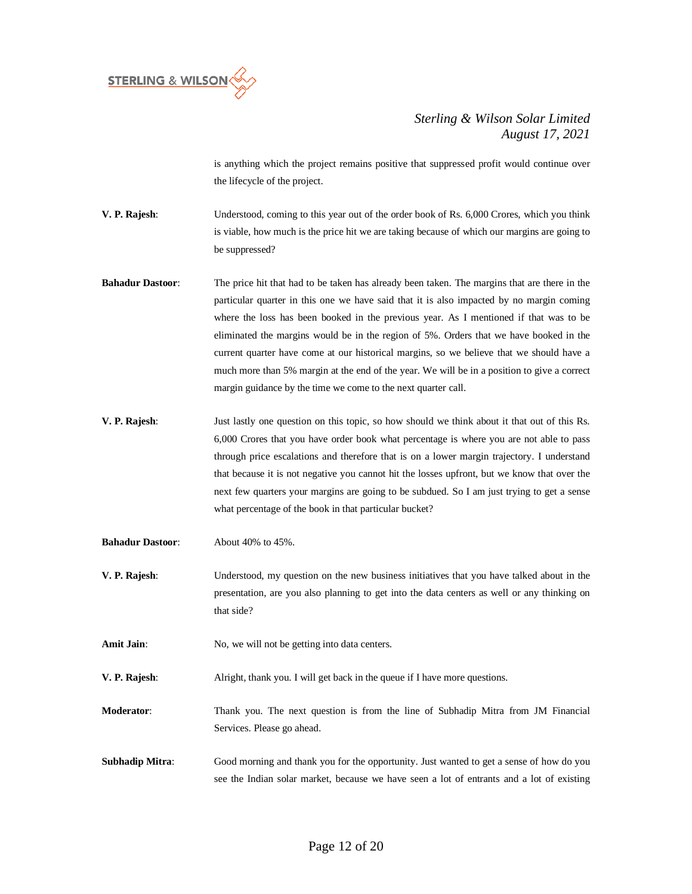

is anything which the project remains positive that suppressed profit would continue over the lifecycle of the project.

**V. P. Rajesh**: Understood, coming to this year out of the order book of Rs. 6,000 Crores, which you think is viable, how much is the price hit we are taking because of which our margins are going to be suppressed?

- **Bahadur Dastoor:** The price hit that had to be taken has already been taken. The margins that are there in the particular quarter in this one we have said that it is also impacted by no margin coming where the loss has been booked in the previous year. As I mentioned if that was to be eliminated the margins would be in the region of 5%. Orders that we have booked in the current quarter have come at our historical margins, so we believe that we should have a much more than 5% margin at the end of the year. We will be in a position to give a correct margin guidance by the time we come to the next quarter call.
- **V. P. Rajesh**: Just lastly one question on this topic, so how should we think about it that out of this Rs. 6,000 Crores that you have order book what percentage is where you are not able to pass through price escalations and therefore that is on a lower margin trajectory. I understand that because it is not negative you cannot hit the losses upfront, but we know that over the next few quarters your margins are going to be subdued. So I am just trying to get a sense what percentage of the book in that particular bucket?
- **Bahadur Dastoor**: About 40% to 45%.
- **V. P. Rajesh**: Understood, my question on the new business initiatives that you have talked about in the presentation, are you also planning to get into the data centers as well or any thinking on that side?

Amit Jain: No, we will not be getting into data centers.

**V. P. Rajesh**: Alright, thank you. I will get back in the queue if I have more questions.

**Moderator**: Thank you. The next question is from the line of Subhadip Mitra from JM Financial Services. Please go ahead.

**Subhadip Mitra:** Good morning and thank you for the opportunity. Just wanted to get a sense of how do you see the Indian solar market, because we have seen a lot of entrants and a lot of existing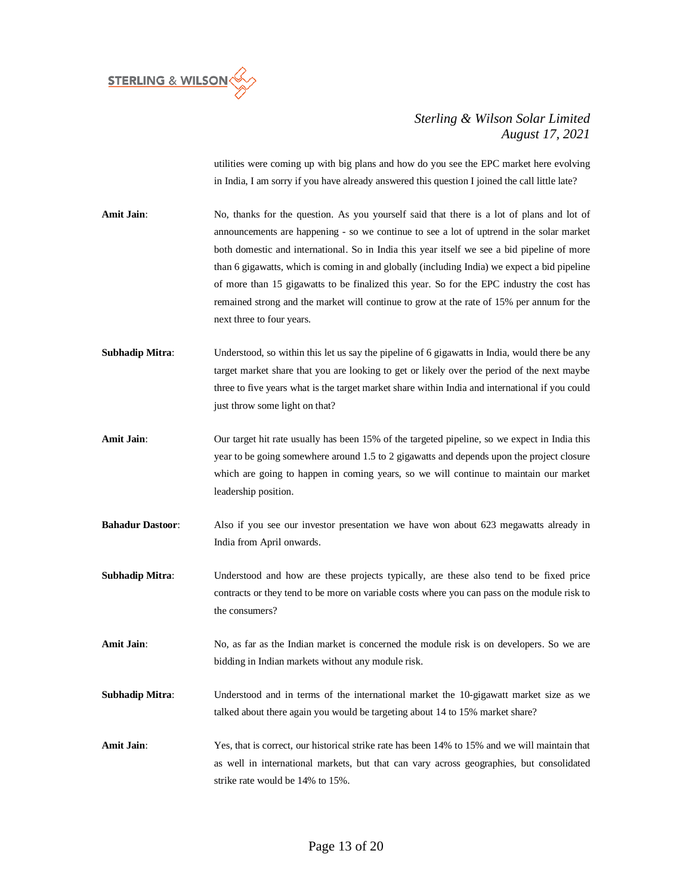

utilities were coming up with big plans and how do you see the EPC market here evolving in India, I am sorry if you have already answered this question I joined the call little late?

**Amit Jain:** No, thanks for the question. As you yourself said that there is a lot of plans and lot of announcements are happening - so we continue to see a lot of uptrend in the solar market both domestic and international. So in India this year itself we see a bid pipeline of more than 6 gigawatts, which is coming in and globally (including India) we expect a bid pipeline of more than 15 gigawatts to be finalized this year. So for the EPC industry the cost has remained strong and the market will continue to grow at the rate of 15% per annum for the next three to four years.

**Subhadip Mitra:** Understood, so within this let us say the pipeline of 6 gigawatts in India, would there be any target market share that you are looking to get or likely over the period of the next maybe three to five years what is the target market share within India and international if you could just throw some light on that?

- **Amit Jain**: Our target hit rate usually has been 15% of the targeted pipeline, so we expect in India this year to be going somewhere around 1.5 to 2 gigawatts and depends upon the project closure which are going to happen in coming years, so we will continue to maintain our market leadership position.
- **Bahadur Dastoor:** Also if you see our investor presentation we have won about 623 megawatts already in India from April onwards.

**Subhadip Mitra:** Understood and how are these projects typically, are these also tend to be fixed price contracts or they tend to be more on variable costs where you can pass on the module risk to the consumers?

Amit Jain: No, as far as the Indian market is concerned the module risk is on developers. So we are bidding in Indian markets without any module risk.

- **Subhadip Mitra:** Understood and in terms of the international market the 10-gigawatt market size as we talked about there again you would be targeting about 14 to 15% market share?
- **Amit Jain**: Yes, that is correct, our historical strike rate has been 14% to 15% and we will maintain that as well in international markets, but that can vary across geographies, but consolidated strike rate would be 14% to 15%.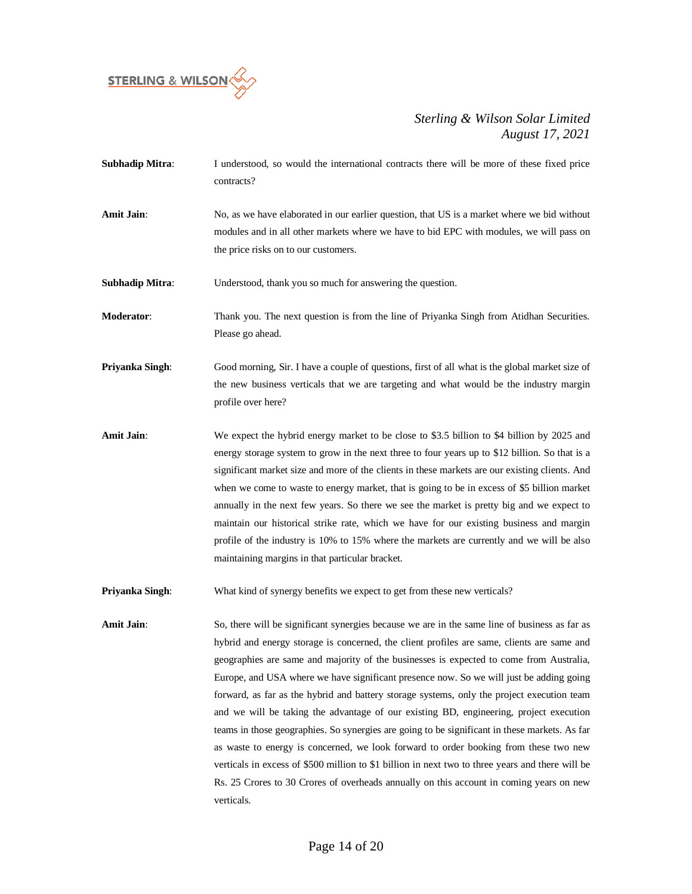

- **Subhadip Mitra:** I understood, so would the international contracts there will be more of these fixed price contracts?
- **Amit Jain**: No, as we have elaborated in our earlier question, that US is a market where we bid without modules and in all other markets where we have to bid EPC with modules, we will pass on the price risks on to our customers.

**Subhadip Mitra:** Understood, thank you so much for answering the question.

**Moderator:** Thank you. The next question is from the line of Priyanka Singh from Atidhan Securities. Please go ahead.

- **Priyanka Singh**: Good morning, Sir. I have a couple of questions, first of all what is the global market size of the new business verticals that we are targeting and what would be the industry margin profile over here?
- **Amit Jain**: We expect the hybrid energy market to be close to \$3.5 billion to \$4 billion by 2025 and energy storage system to grow in the next three to four years up to \$12 billion. So that is a significant market size and more of the clients in these markets are our existing clients. And when we come to waste to energy market, that is going to be in excess of \$5 billion market annually in the next few years. So there we see the market is pretty big and we expect to maintain our historical strike rate, which we have for our existing business and margin profile of the industry is 10% to 15% where the markets are currently and we will be also maintaining margins in that particular bracket.

**Priyanka Singh:** What kind of synergy benefits we expect to get from these new verticals?

Amit Jain: So, there will be significant synergies because we are in the same line of business as far as hybrid and energy storage is concerned, the client profiles are same, clients are same and geographies are same and majority of the businesses is expected to come from Australia, Europe, and USA where we have significant presence now. So we will just be adding going forward, as far as the hybrid and battery storage systems, only the project execution team and we will be taking the advantage of our existing BD, engineering, project execution teams in those geographies. So synergies are going to be significant in these markets. As far as waste to energy is concerned, we look forward to order booking from these two new verticals in excess of \$500 million to \$1 billion in next two to three years and there will be Rs. 25 Crores to 30 Crores of overheads annually on this account in coming years on new verticals.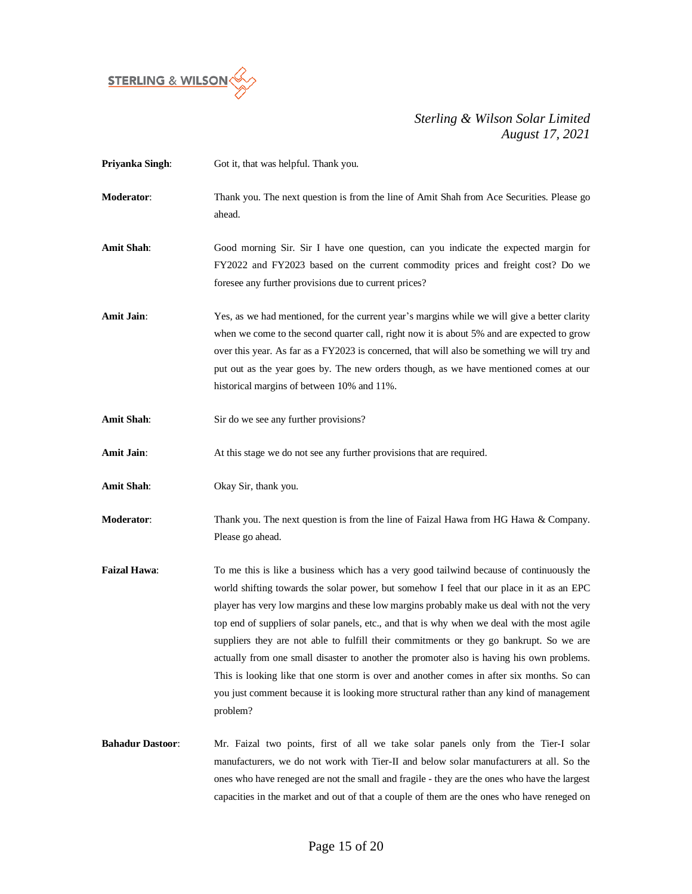

| Priyanka Singh:         | Got it, that was helpful. Thank you.                                                                                                                                                                                                                                                                                                                                                                                                                                                                                                                                                                                                                                                                                                                                             |
|-------------------------|----------------------------------------------------------------------------------------------------------------------------------------------------------------------------------------------------------------------------------------------------------------------------------------------------------------------------------------------------------------------------------------------------------------------------------------------------------------------------------------------------------------------------------------------------------------------------------------------------------------------------------------------------------------------------------------------------------------------------------------------------------------------------------|
| Moderator:              | Thank you. The next question is from the line of Amit Shah from Ace Securities. Please go<br>ahead.                                                                                                                                                                                                                                                                                                                                                                                                                                                                                                                                                                                                                                                                              |
| <b>Amit Shah</b> :      | Good morning Sir. Sir I have one question, can you indicate the expected margin for<br>FY2022 and FY2023 based on the current commodity prices and freight cost? Do we<br>foresee any further provisions due to current prices?                                                                                                                                                                                                                                                                                                                                                                                                                                                                                                                                                  |
| Amit Jain:              | Yes, as we had mentioned, for the current year's margins while we will give a better clarity<br>when we come to the second quarter call, right now it is about 5% and are expected to grow<br>over this year. As far as a FY2023 is concerned, that will also be something we will try and<br>put out as the year goes by. The new orders though, as we have mentioned comes at our<br>historical margins of between 10% and 11%.                                                                                                                                                                                                                                                                                                                                                |
| <b>Amit Shah:</b>       | Sir do we see any further provisions?                                                                                                                                                                                                                                                                                                                                                                                                                                                                                                                                                                                                                                                                                                                                            |
| <b>Amit Jain:</b>       | At this stage we do not see any further provisions that are required.                                                                                                                                                                                                                                                                                                                                                                                                                                                                                                                                                                                                                                                                                                            |
| <b>Amit Shah:</b>       | Okay Sir, thank you.                                                                                                                                                                                                                                                                                                                                                                                                                                                                                                                                                                                                                                                                                                                                                             |
| <b>Moderator:</b>       | Thank you. The next question is from the line of Faizal Hawa from HG Hawa & Company.<br>Please go ahead.                                                                                                                                                                                                                                                                                                                                                                                                                                                                                                                                                                                                                                                                         |
| Faizal Hawa:            | To me this is like a business which has a very good tailwind because of continuously the<br>world shifting towards the solar power, but somehow I feel that our place in it as an EPC<br>player has very low margins and these low margins probably make us deal with not the very<br>top end of suppliers of solar panels, etc., and that is why when we deal with the most agile<br>suppliers they are not able to fulfill their commitments or they go bankrupt. So we are<br>actually from one small disaster to another the promoter also is having his own problems.<br>This is looking like that one storm is over and another comes in after six months. So can<br>you just comment because it is looking more structural rather than any kind of management<br>problem? |
| <b>Bahadur Dastoor:</b> | Mr. Faizal two points, first of all we take solar panels only from the Tier-I solar<br>manufacturers, we do not work with Tier-II and below solar manufacturers at all. So the<br>ones who have reneged are not the small and fragile - they are the ones who have the largest<br>capacities in the market and out of that a couple of them are the ones who have reneged on                                                                                                                                                                                                                                                                                                                                                                                                     |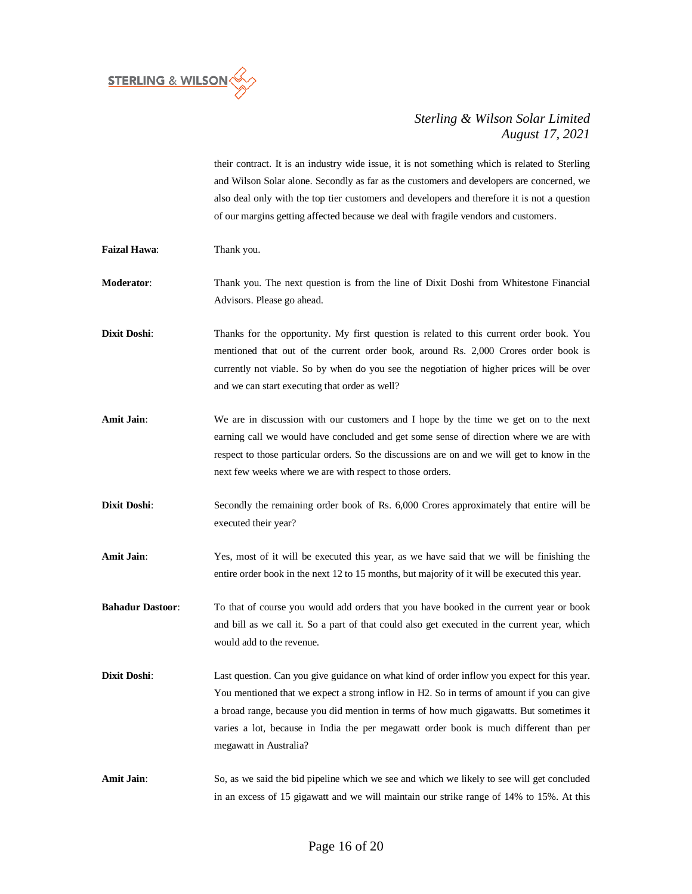

their contract. It is an industry wide issue, it is not something which is related to Sterling and Wilson Solar alone. Secondly as far as the customers and developers are concerned, we also deal only with the top tier customers and developers and therefore it is not a question of our margins getting affected because we deal with fragile vendors and customers.

- **Faizal Hawa**: Thank you.
- **Moderator**: Thank you. The next question is from the line of Dixit Doshi from Whitestone Financial Advisors. Please go ahead.
- **Dixit Doshi:** Thanks for the opportunity. My first question is related to this current order book. You mentioned that out of the current order book, around Rs. 2,000 Crores order book is currently not viable. So by when do you see the negotiation of higher prices will be over and we can start executing that order as well?
- **Amit Jain**: We are in discussion with our customers and I hope by the time we get on to the next earning call we would have concluded and get some sense of direction where we are with respect to those particular orders. So the discussions are on and we will get to know in the next few weeks where we are with respect to those orders.
- **Dixit Doshi:** Secondly the remaining order book of Rs. 6,000 Crores approximately that entire will be executed their year?
- **Amit Jain**: Yes, most of it will be executed this year, as we have said that we will be finishing the entire order book in the next 12 to 15 months, but majority of it will be executed this year.

**Bahadur Dastoor**: To that of course you would add orders that you have booked in the current year or book and bill as we call it. So a part of that could also get executed in the current year, which would add to the revenue.

- **Dixit Doshi**: Last question. Can you give guidance on what kind of order inflow you expect for this year. You mentioned that we expect a strong inflow in H2. So in terms of amount if you can give a broad range, because you did mention in terms of how much gigawatts. But sometimes it varies a lot, because in India the per megawatt order book is much different than per megawatt in Australia?
- Amit Jain: So, as we said the bid pipeline which we see and which we likely to see will get concluded in an excess of 15 gigawatt and we will maintain our strike range of 14% to 15%. At this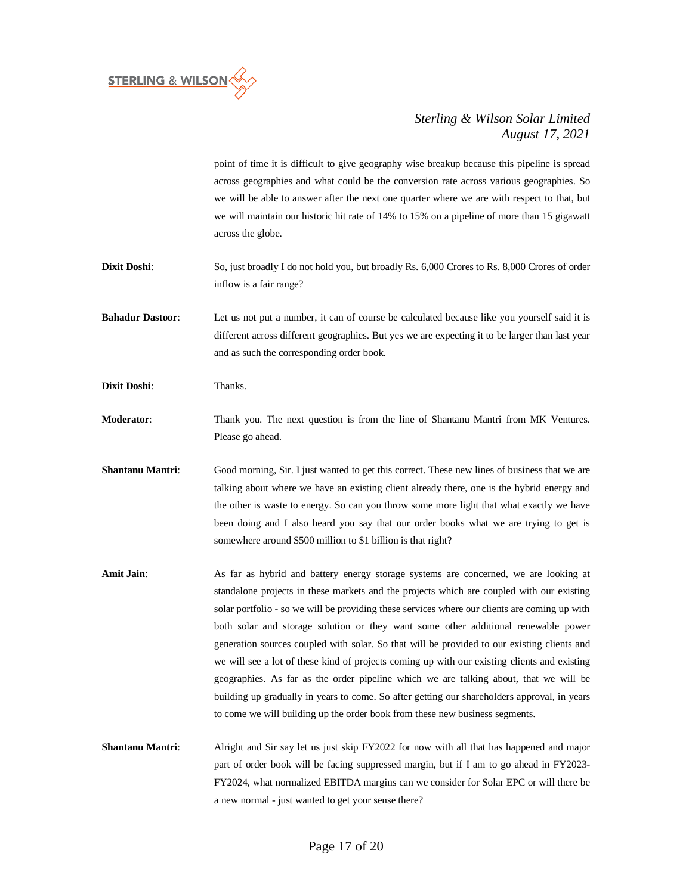

point of time it is difficult to give geography wise breakup because this pipeline is spread across geographies and what could be the conversion rate across various geographies. So we will be able to answer after the next one quarter where we are with respect to that, but we will maintain our historic hit rate of 14% to 15% on a pipeline of more than 15 gigawatt across the globe.

Dixit Doshi: So, just broadly I do not hold you, but broadly Rs. 6,000 Crores to Rs. 8,000 Crores of order inflow is a fair range?

**Bahadur Dastoor:** Let us not put a number, it can of course be calculated because like you yourself said it is different across different geographies. But yes we are expecting it to be larger than last year and as such the corresponding order book.

**Dixit Doshi**: Thanks.

**Moderator**: Thank you. The next question is from the line of Shantanu Mantri from MK Ventures. Please go ahead.

**Shantanu Mantri:** Good morning, Sir. I just wanted to get this correct. These new lines of business that we are talking about where we have an existing client already there, one is the hybrid energy and the other is waste to energy. So can you throw some more light that what exactly we have been doing and I also heard you say that our order books what we are trying to get is somewhere around \$500 million to \$1 billion is that right?

Amit Jain: As far as hybrid and battery energy storage systems are concerned, we are looking at standalone projects in these markets and the projects which are coupled with our existing solar portfolio - so we will be providing these services where our clients are coming up with both solar and storage solution or they want some other additional renewable power generation sources coupled with solar. So that will be provided to our existing clients and we will see a lot of these kind of projects coming up with our existing clients and existing geographies. As far as the order pipeline which we are talking about, that we will be building up gradually in years to come. So after getting our shareholders approval, in years to come we will building up the order book from these new business segments.

**Shantanu Mantri:** Alright and Sir say let us just skip FY2022 for now with all that has happened and major part of order book will be facing suppressed margin, but if I am to go ahead in FY2023- FY2024, what normalized EBITDA margins can we consider for Solar EPC or will there be a new normal - just wanted to get your sense there?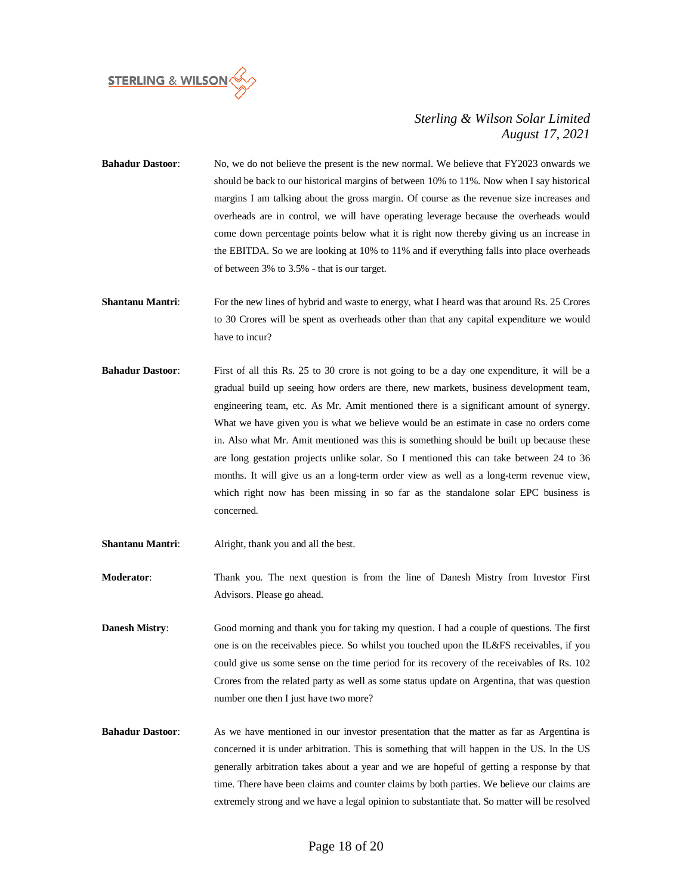

- **Bahadur Dastoor:** No, we do not believe the present is the new normal. We believe that FY2023 onwards we should be back to our historical margins of between 10% to 11%. Now when I say historical margins I am talking about the gross margin. Of course as the revenue size increases and overheads are in control, we will have operating leverage because the overheads would come down percentage points below what it is right now thereby giving us an increase in the EBITDA. So we are looking at 10% to 11% and if everything falls into place overheads of between 3% to 3.5% - that is our target.
- **Shantanu Mantri:** For the new lines of hybrid and waste to energy, what I heard was that around Rs. 25 Crores to 30 Crores will be spent as overheads other than that any capital expenditure we would have to incur?
- **Bahadur Dastoor:** First of all this Rs. 25 to 30 crore is not going to be a day one expenditure, it will be a gradual build up seeing how orders are there, new markets, business development team, engineering team, etc. As Mr. Amit mentioned there is a significant amount of synergy. What we have given you is what we believe would be an estimate in case no orders come in. Also what Mr. Amit mentioned was this is something should be built up because these are long gestation projects unlike solar. So I mentioned this can take between 24 to 36 months. It will give us an a long-term order view as well as a long-term revenue view, which right now has been missing in so far as the standalone solar EPC business is concerned.
- **Shantanu Mantri**: Alright, thank you and all the best.
- **Moderator**: Thank you. The next question is from the line of Danesh Mistry from Investor First Advisors. Please go ahead.
- **Danesh Mistry**: Good morning and thank you for taking my question. I had a couple of questions. The first one is on the receivables piece. So whilst you touched upon the IL&FS receivables, if you could give us some sense on the time period for its recovery of the receivables of Rs. 102 Crores from the related party as well as some status update on Argentina, that was question number one then I just have two more?
- **Bahadur Dastoor:** As we have mentioned in our investor presentation that the matter as far as Argentina is concerned it is under arbitration. This is something that will happen in the US. In the US generally arbitration takes about a year and we are hopeful of getting a response by that time. There have been claims and counter claims by both parties. We believe our claims are extremely strong and we have a legal opinion to substantiate that. So matter will be resolved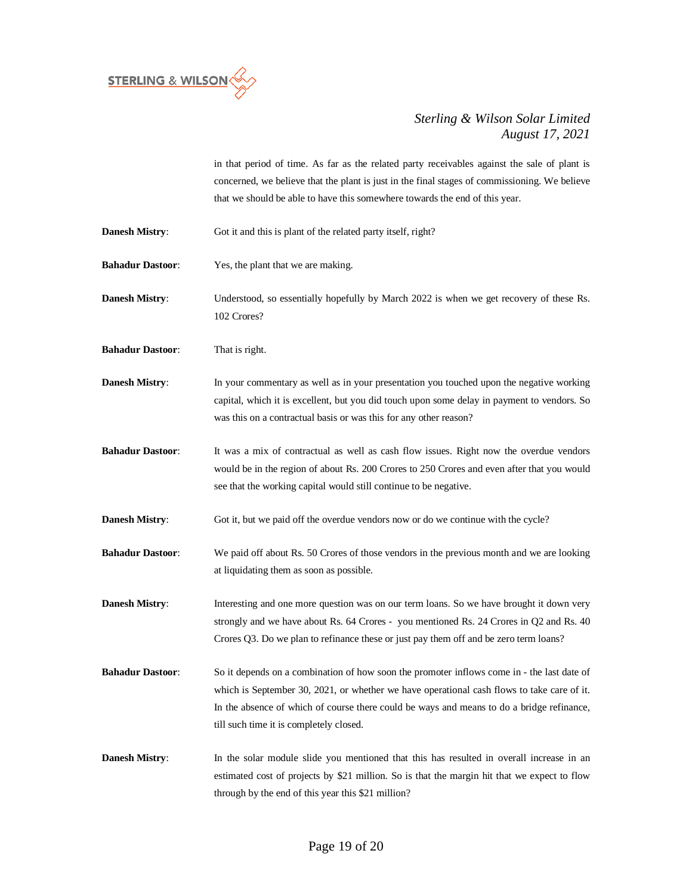

in that period of time. As far as the related party receivables against the sale of plant is concerned, we believe that the plant is just in the final stages of commissioning. We believe that we should be able to have this somewhere towards the end of this year.

- **Danesh Mistry:** Got it and this is plant of the related party itself, right?
- **Bahadur Dastoor**: Yes, the plant that we are making.
- **Danesh Mistry**: Understood, so essentially hopefully by March 2022 is when we get recovery of these Rs. 102 Crores?

**Bahadur Dastoor**: That is right.

- **Danesh Mistry:** In your commentary as well as in your presentation you touched upon the negative working capital, which it is excellent, but you did touch upon some delay in payment to vendors. So was this on a contractual basis or was this for any other reason?
- **Bahadur Dastoor**: It was a mix of contractual as well as cash flow issues. Right now the overdue vendors would be in the region of about Rs. 200 Crores to 250 Crores and even after that you would see that the working capital would still continue to be negative.
- **Danesh Mistry:** Got it, but we paid off the overdue vendors now or do we continue with the cycle?
- **Bahadur Dastoor**: We paid off about Rs. 50 Crores of those vendors in the previous month and we are looking at liquidating them as soon as possible.
- **Danesh Mistry:** Interesting and one more question was on our term loans. So we have brought it down very strongly and we have about Rs. 64 Crores - you mentioned Rs. 24 Crores in Q2 and Rs. 40 Crores Q3. Do we plan to refinance these or just pay them off and be zero term loans?
- **Bahadur Dastoor:** So it depends on a combination of how soon the promoter inflows come in the last date of which is September 30, 2021, or whether we have operational cash flows to take care of it. In the absence of which of course there could be ways and means to do a bridge refinance, till such time it is completely closed.
- **Danesh Mistry:** In the solar module slide you mentioned that this has resulted in overall increase in an estimated cost of projects by \$21 million. So is that the margin hit that we expect to flow through by the end of this year this \$21 million?